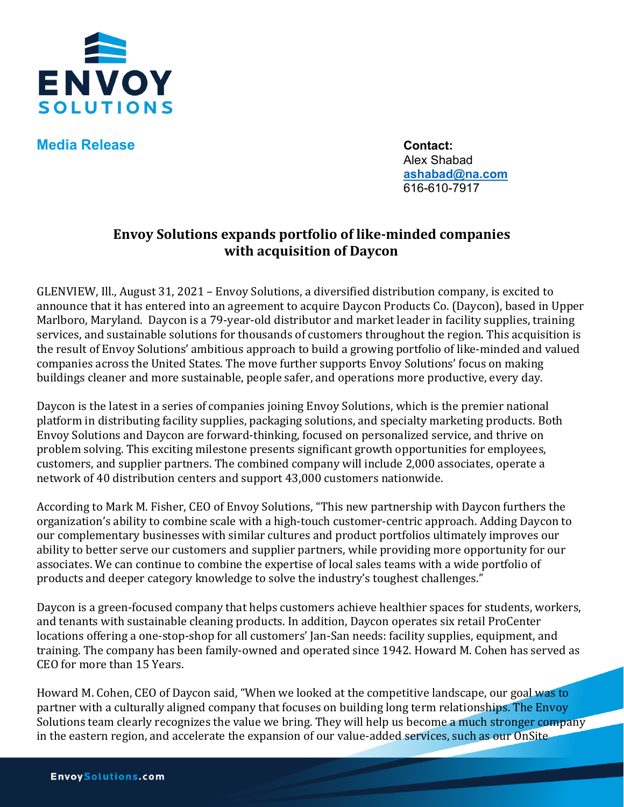

**Media Release Contact:** 

Alex Shabad **[ashabad@na.com](mailto:ashabad@na.com)** 616-610-7917

## **Envoy Solutions expands portfolio of like-minded companies with acquisition of Daycon**

GLENVIEW, Ill., August 31, 2021 – Envoy Solutions, a diversified distribution company, is excited to announce that it has entered into an agreement to acquire Daycon Products Co. (Daycon), based in Upper Marlboro, Maryland. Daycon is a 79-year-old distributor and market leader in facility supplies, training services, and sustainable solutions for thousands of customers throughout the region. This acquisition is the result of Envoy Solutions' ambitious approach to build a growing portfolio of like-minded and valued companies across the United States. The move further supports Envoy Solutions' focus on making buildings cleaner and more sustainable, people safer, and operations more productive, every day.

Daycon is the latest in a series of companies joining Envoy Solutions, which is the premier national platform in distributing facility supplies, packaging solutions, and specialty marketing products. Both Envoy Solutions and Daycon are forward-thinking, focused on personalized service, and thrive on problem solving. This exciting milestone presents significant growth opportunities for employees, customers, and supplier partners. The combined company will include 2,000 associates, operate a network of 40 distribution centers and support 43,000 customers nationwide.

According to Mark M. Fisher, CEO of Envoy Solutions, "This new partnership with Daycon furthers the organization's ability to combine scale with a high-touch customer-centric approach. Adding Daycon to our complementary businesses with similar cultures and product portfolios ultimately improves our ability to better serve our customers and supplier partners, while providing more opportunity for our associates. We can continue to combine the expertise of local sales teams with a wide portfolio of products and deeper category knowledge to solve the industry's toughest challenges."

Daycon is a green-focused company that helps customers achieve healthier spaces for students, workers, and tenants with sustainable cleaning products. In addition, Daycon operates six retail ProCenter locations offering a one-stop-shop for all customers' Jan-San needs: facility supplies, equipment, and training. The company has been family-owned and operated since 1942. Howard M. Cohen has served as CEO for more than 15 Years.

Howard M. Cohen, CEO of Daycon said, "When we looked at the competitive landscape, our goal was to partner with a culturally aligned company that focuses on building long term relationships. The Envoy Solutions team clearly recognizes the value we bring. They will help us become a much stronger company in the eastern region, and accelerate the expansion of our value-added services, such as our OnSite